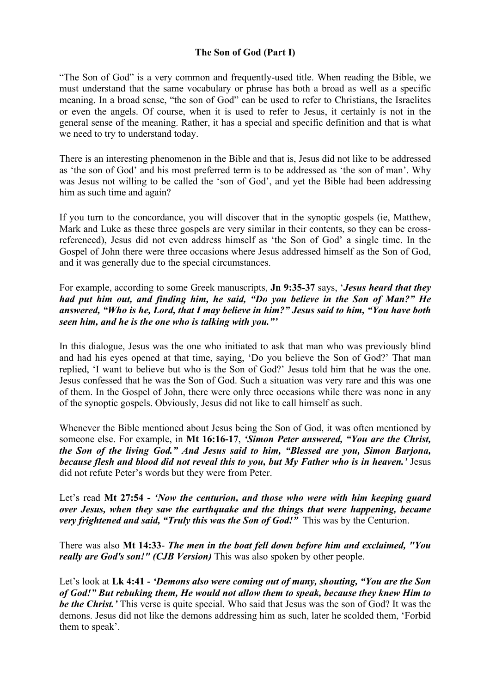# **The Son of God (Part I)**

"The Son of God" is a very common and frequently-used title. When reading the Bible, we must understand that the same vocabulary or phrase has both a broad as well as a specific meaning. In a broad sense, "the son of God" can be used to refer to Christians, the Israelites or even the angels. Of course, when it is used to refer to Jesus, it certainly is not in the general sense of the meaning. Rather, it has a special and specific definition and that is what we need to try to understand today.

There is an interesting phenomenon in the Bible and that is, Jesus did not like to be addressed as 'the son of God' and his most preferred term is to be addressed as 'the son of man'. Why was Jesus not willing to be called the 'son of God', and yet the Bible had been addressing him as such time and again?

If you turn to the concordance, you will discover that in the synoptic gospels (ie, Matthew, Mark and Luke as these three gospels are very similar in their contents, so they can be crossreferenced), Jesus did not even address himself as 'the Son of God' a single time. In the Gospel of John there were three occasions where Jesus addressed himself as the Son of God, and it was generally due to the special circumstances.

For example, according to some Greek manuscripts, **Jn 9:35-37** says, '*Jesus heard that they had put him out, and finding him, he said, "Do you believe in the Son of Man?" He answered, "Who is he, Lord, that I may believe in him?" Jesus said to him, "You have both seen him, and he is the one who is talking with you."'*

In this dialogue, Jesus was the one who initiated to ask that man who was previously blind and had his eyes opened at that time, saying, 'Do you believe the Son of God?' That man replied, 'I want to believe but who is the Son of God?' Jesus told him that he was the one. Jesus confessed that he was the Son of God. Such a situation was very rare and this was one of them. In the Gospel of John, there were only three occasions while there was none in any of the synoptic gospels. Obviously, Jesus did not like to call himself as such.

Whenever the Bible mentioned about Jesus being the Son of God, it was often mentioned by someone else. For example, in **Mt 16:16-17**, *'Simon Peter answered, "You are the Christ, the Son of the living God." And Jesus said to him, "Blessed are you, Simon Barjona, because flesh and blood did not reveal this to you, but My Father who is in heaven.'* Jesus did not refute Peter's words but they were from Peter.

Let's read **Mt 27:54 -** *'Now the centurion, and those who were with him keeping guard over Jesus, when they saw the earthquake and the things that were happening, became very frightened and said, "Truly this was the Son of God!"* This was by the Centurion.

There was also **Mt 14:33**- *The men in the boat fell down before him and exclaimed, "You really are God's son!" (CJB Version)* This was also spoken by other people.

Let's look at **Lk 4:41 -** *'Demons also were coming out of many, shouting, "You are the Son of God!" But rebuking them, He would not allow them to speak, because they knew Him to be the Christ.'* This verse is quite special. Who said that Jesus was the son of God? It was the demons. Jesus did not like the demons addressing him as such, later he scolded them, 'Forbid them to speak'.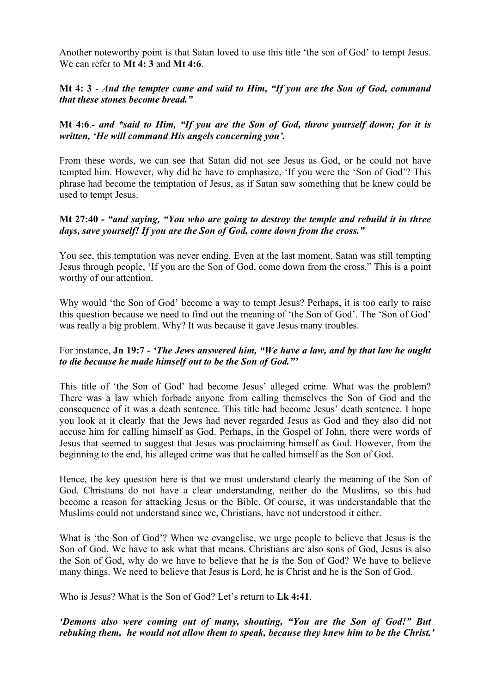Another noteworthy point is that Satan loved to use this title 'the son of God' to tempt Jesus. We can refer to **Mt 4: 3** and **Mt 4:6**.

## **Mt 4: 3** - *And the tempter came and said to Him, "If you are the Son of God, command that these stones become bread."*

**Mt 4:6**.- *and \*said to Him, "If you are the Son of God, throw yourself down; for it is written, 'He will command His angels concerning you'.*

From these words, we can see that Satan did not see Jesus as God, or he could not have tempted him. However, why did he have to emphasize, 'If you were the 'Son of God'? This phrase had become the temptation of Jesus, as if Satan saw something that he knew could be used to tempt Jesus.

#### **Mt 27:40** *- "and saying, "You who are going to destroy the temple and rebuild it in three days, save yourself! If you are the Son of God, come down from the cross."*

You see, this temptation was never ending. Even at the last moment, Satan was still tempting Jesus through people, 'If you are the Son of God, come down from the cross." This is a point worthy of our attention.

Why would 'the Son of God' become a way to tempt Jesus? Perhaps, it is too early to raise this question because we need to find out the meaning of 'the Son of God'. The 'Son of God' was really a big problem. Why? It was because it gave Jesus many troubles.

## For instance, **Jn 19:7 -** *'The Jews answered him, "We have a law, and by that law he ought to die because he made himself out to be the Son of God."'*

This title of 'the Son of God' had become Jesus' alleged crime. What was the problem? There was a law which forbade anyone from calling themselves the Son of God and the consequence of it was a death sentence. This title had become Jesus' death sentence. I hope you look at it clearly that the Jews had never regarded Jesus as God and they also did not accuse him for calling himself as God. Perhaps, in the Gospel of John, there were words of Jesus that seemed to suggest that Jesus was proclaiming himself as God. However, from the beginning to the end, his alleged crime was that he called himself as the Son of God.

Hence, the key question here is that we must understand clearly the meaning of the Son of God. Christians do not have a clear understanding, neither do the Muslims, so this had become a reason for attacking Jesus or the Bible. Of course, it was understandable that the Muslims could not understand since we, Christians, have not understood it either.

What is 'the Son of God'? When we evangelise, we urge people to believe that Jesus is the Son of God. We have to ask what that means. Christians are also sons of God, Jesus is also the Son of God, why do we have to believe that he is the Son of God? We have to believe many things. We need to believe that Jesus is Lord, he is Christ and he is the Son of God.

Who is Jesus? What is the Son of God? Let's return to **Lk 4:41**.

*'Demons also were coming out of many, shouting, "You are the Son of God!" But rebuking them, he would not allow them to speak, because they knew him to be the Christ.'*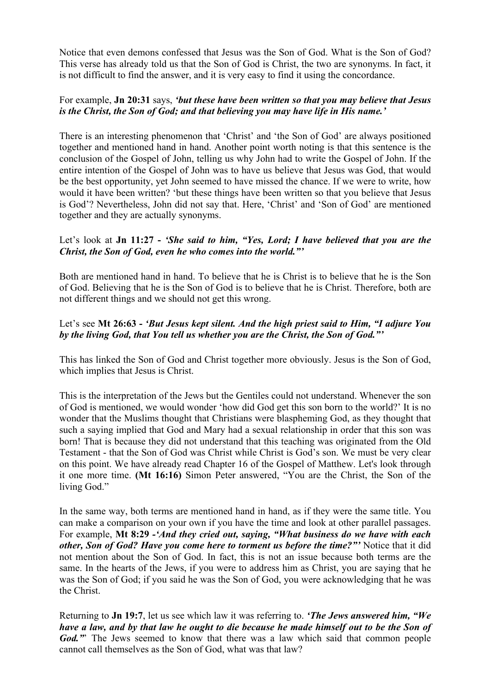Notice that even demons confessed that Jesus was the Son of God. What is the Son of God? This verse has already told us that the Son of God is Christ, the two are synonyms. In fact, it is not difficult to find the answer, and it is very easy to find it using the concordance.

## For example, **Jn 20:31** says, *'but these have been written so that you may believe that Jesus is the Christ, the Son of God; and that believing you may have life in His name.'*

There is an interesting phenomenon that 'Christ' and 'the Son of God' are always positioned together and mentioned hand in hand. Another point worth noting is that this sentence is the conclusion of the Gospel of John, telling us why John had to write the Gospel of John. If the entire intention of the Gospel of John was to have us believe that Jesus was God, that would be the best opportunity, yet John seemed to have missed the chance. If we were to write, how would it have been written? 'but these things have been written so that you believe that Jesus is God'? Nevertheless, John did not say that. Here, 'Christ' and 'Son of God' are mentioned together and they are actually synonyms.

## Let's look at **Jn 11:27 -** *'She said to him, "Yes, Lord; I have believed that you are the Christ, the Son of God, even he who comes into the world."'*

Both are mentioned hand in hand. To believe that he is Christ is to believe that he is the Son of God. Believing that he is the Son of God is to believe that he is Christ. Therefore, both are not different things and we should not get this wrong.

## Let's see **Mt 26:63 -** *'But Jesus kept silent. And the high priest said to Him, "I adjure You by the living God, that You tell us whether you are the Christ, the Son of God."'*

This has linked the Son of God and Christ together more obviously. Jesus is the Son of God, which implies that Jesus is Christ.

This is the interpretation of the Jews but the Gentiles could not understand. Whenever the son of God is mentioned, we would wonder 'how did God get this son born to the world?' It is no wonder that the Muslims thought that Christians were blaspheming God, as they thought that such a saying implied that God and Mary had a sexual relationship in order that this son was born! That is because they did not understand that this teaching was originated from the Old Testament - that the Son of God was Christ while Christ is God's son. We must be very clear on this point. We have already read Chapter 16 of the Gospel of Matthew. Let's look through it one more time. **(Mt 16:16)** Simon Peter answered, "You are the Christ, the Son of the living God."

In the same way, both terms are mentioned hand in hand, as if they were the same title. You can make a comparison on your own if you have the time and look at other parallel passages. For example, **Mt 8:29** *-'And they cried out, saying, "What business do we have with each other, Son of God? Have you come here to torment us before the time?"'* Notice that it did not mention about the Son of God. In fact, this is not an issue because both terms are the same. In the hearts of the Jews, if you were to address him as Christ, you are saying that he was the Son of God; if you said he was the Son of God, you were acknowledging that he was the Christ.

Returning to **Jn 19:7**, let us see which law it was referring to. *'The Jews answered him, "We have a law, and by that law he ought to die because he made himself out to be the Son of God.*" The Jews seemed to know that there was a law which said that common people cannot call themselves as the Son of God, what was that law?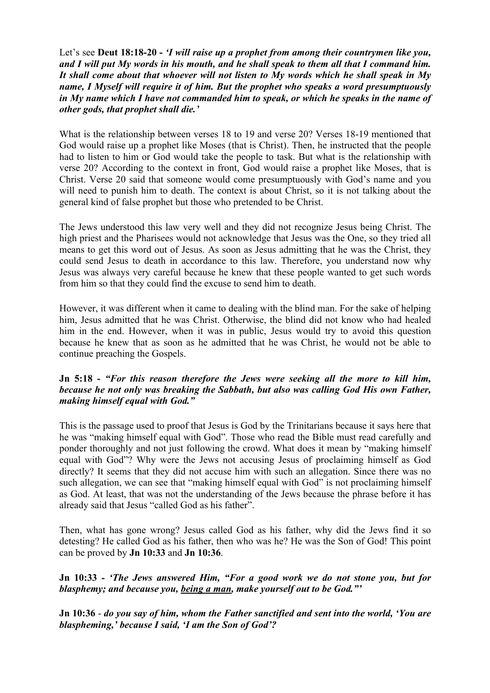Let's see **Deut 18:18-20 -** *'I will raise up a prophet from among their countrymen like you, and I will put My words in his mouth, and he shall speak to them all that I command him. It shall come about that whoever will not listen to My words which he shall speak in My name, I Myself will require it of him. But the prophet who speaks a word presumptuously in My name which I have not commanded him to speak, or which he speaks in the name of other gods, that prophet shall die.'*

What is the relationship between verses 18 to 19 and verse 20? Verses 18-19 mentioned that God would raise up a prophet like Moses (that is Christ). Then, he instructed that the people had to listen to him or God would take the people to task. But what is the relationship with verse 20? According to the context in front, God would raise a prophet like Moses, that is Christ. Verse 20 said that someone would come presumptuously with God's name and you will need to punish him to death. The context is about Christ, so it is not talking about the general kind of false prophet but those who pretended to be Christ.

The Jews understood this law very well and they did not recognize Jesus being Christ. The high priest and the Pharisees would not acknowledge that Jesus was the One, so they tried all means to get this word out of Jesus. As soon as Jesus admitting that he was the Christ, they could send Jesus to death in accordance to this law. Therefore, you understand now why Jesus was always very careful because he knew that these people wanted to get such words from him so that they could find the excuse to send him to death.

However, it was different when it came to dealing with the blind man. For the sake of helping him, Jesus admitted that he was Christ. Otherwise, the blind did not know who had healed him in the end. However, when it was in public, Jesus would try to avoid this question because he knew that as soon as he admitted that he was Christ, he would not be able to continue preaching the Gospels.

#### **Jn 5:18 -** *"For this reason therefore the Jews were seeking all the more to kill him, because he not only was breaking the Sabbath, but also was calling God His own Father, making himself equal with God."*

This is the passage used to proof that Jesus is God by the Trinitarians because it says here that he was "making himself equal with God". Those who read the Bible must read carefully and ponder thoroughly and not just following the crowd. What does it mean by "making himself equal with God"? Why were the Jews not accusing Jesus of proclaiming himself as God directly? It seems that they did not accuse him with such an allegation. Since there was no such allegation, we can see that "making himself equal with God" is not proclaiming himself as God. At least, that was not the understanding of the Jews because the phrase before it has already said that Jesus "called God as his father".

Then, what has gone wrong? Jesus called God as his father, why did the Jews find it so detesting? He called God as his father, then who was he? He was the Son of God! This point can be proved by **Jn 10:33** and **Jn 10:36**.

**Jn 10:33** *- 'The Jews answered Him, "For a good work we do not stone you, but for blasphemy; and because you, being a man, make yourself out to be God."'*

**Jn 10:36** - *do you say of him, whom the Father sanctified and sent into the world, 'You are blaspheming,' because I said, 'I am the Son of God'?*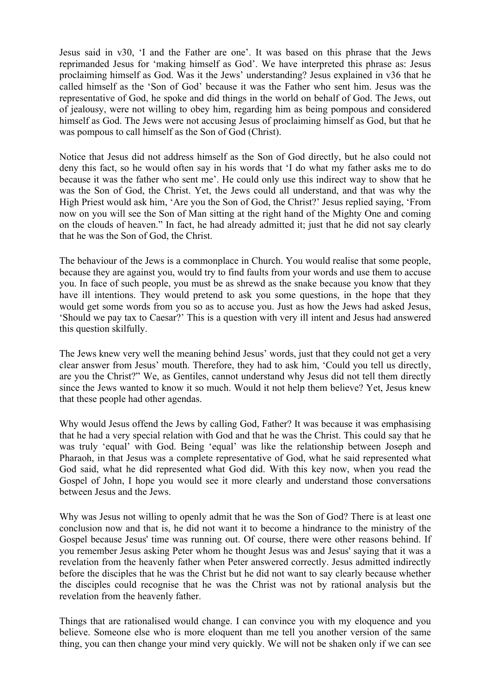Jesus said in v30, 'I and the Father are one'. It was based on this phrase that the Jews reprimanded Jesus for 'making himself as God'. We have interpreted this phrase as: Jesus proclaiming himself as God. Was it the Jews' understanding? Jesus explained in v36 that he called himself as the 'Son of God' because it was the Father who sent him. Jesus was the representative of God, he spoke and did things in the world on behalf of God. The Jews, out of jealousy, were not willing to obey him, regarding him as being pompous and considered himself as God. The Jews were not accusing Jesus of proclaiming himself as God, but that he was pompous to call himself as the Son of God (Christ).

Notice that Jesus did not address himself as the Son of God directly, but he also could not deny this fact, so he would often say in his words that 'I do what my father asks me to do because it was the father who sent me'. He could only use this indirect way to show that he was the Son of God, the Christ. Yet, the Jews could all understand, and that was why the High Priest would ask him, 'Are you the Son of God, the Christ?' Jesus replied saying, 'From now on you will see the Son of Man sitting at the right hand of the Mighty One and coming on the clouds of heaven." In fact, he had already admitted it; just that he did not say clearly that he was the Son of God, the Christ.

The behaviour of the Jews is a commonplace in Church. You would realise that some people, because they are against you, would try to find faults from your words and use them to accuse you. In face of such people, you must be as shrewd as the snake because you know that they have ill intentions. They would pretend to ask you some questions, in the hope that they would get some words from you so as to accuse you. Just as how the Jews had asked Jesus, 'Should we pay tax to Caesar?' This is a question with very ill intent and Jesus had answered this question skilfully.

The Jews knew very well the meaning behind Jesus' words, just that they could not get a very clear answer from Jesus' mouth. Therefore, they had to ask him, 'Could you tell us directly, are you the Christ?" We, as Gentiles, cannot understand why Jesus did not tell them directly since the Jews wanted to know it so much. Would it not help them believe? Yet, Jesus knew that these people had other agendas.

Why would Jesus offend the Jews by calling God, Father? It was because it was emphasising that he had a very special relation with God and that he was the Christ. This could say that he was truly 'equal' with God. Being 'equal' was like the relationship between Joseph and Pharaoh, in that Jesus was a complete representative of God, what he said represented what God said, what he did represented what God did. With this key now, when you read the Gospel of John, I hope you would see it more clearly and understand those conversations between Jesus and the Jews.

Why was Jesus not willing to openly admit that he was the Son of God? There is at least one conclusion now and that is, he did not want it to become a hindrance to the ministry of the Gospel because Jesus' time was running out. Of course, there were other reasons behind. If you remember Jesus asking Peter whom he thought Jesus was and Jesus' saying that it was a revelation from the heavenly father when Peter answered correctly. Jesus admitted indirectly before the disciples that he was the Christ but he did not want to say clearly because whether the disciples could recognise that he was the Christ was not by rational analysis but the revelation from the heavenly father.

Things that are rationalised would change. I can convince you with my eloquence and you believe. Someone else who is more eloquent than me tell you another version of the same thing, you can then change your mind very quickly. We will not be shaken only if we can see